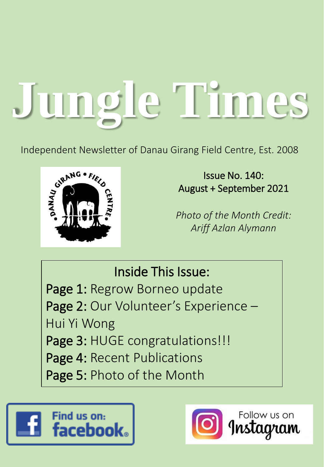# **Jungle Times**

Independent Newsletter of Danau Girang Field Centre, Est. 2008



Issue No. 140: August + September 2021

*Photo of the Month Credit: Ariff Azlan Alymann*

Inside This Issue: Page 1: Regrow Borneo update Page 2: Our Volunteer's Experience -Hui Yi Wong Page 3: HUGE congratulations!!! Page 4: Recent Publications Page 5: Photo of the Month



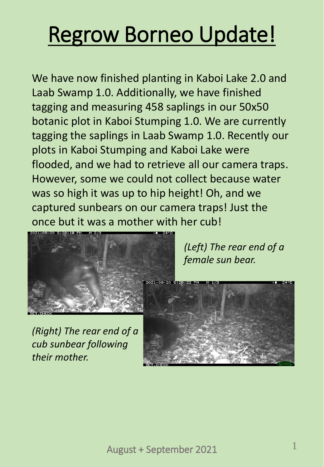# Regrow Borneo Update!

We have now finished planting in Kaboi Lake 2.0 and Laab Swamp 1.0. Additionally, we have finished tagging and measuring 458 saplings in our 50x50 botanic plot in Kaboi Stumping 1.0. We are currently tagging the saplings in Laab Swamp 1.0. Recently our plots in Kaboi Stumping and Kaboi Lake were flooded, and we had to retrieve all our camera traps. However, some we could not collect because water was so high it was up to hip height! Oh, and we captured sunbears on our camera traps! Just the once but it was a mother with her cub!



*(Left) The rear end of a female sun bear.*

*(Right) The rear end of a cub sunbear following their mother.*

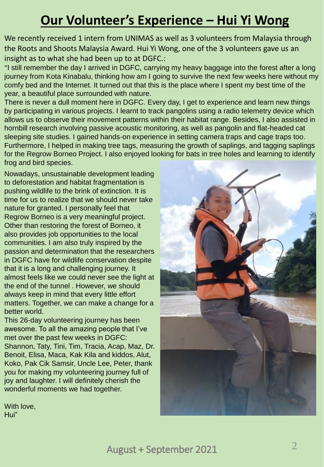#### **Our Volunteer's Experience – Hui Yi Wong**

We recently received 1 intern from UNIMAS as well as 3 volunteers from Malaysia through the Roots and Shoots Malaysia Award. Hui Yi Wong, one of the 3 volunteers gave us an insight as to what she had been up to at DGFC.:

"I still remember the day I arrived in DGFC, carrying my heavy baggage into the forest after a long journey from Kota Kinabalu, thinking how am I going to survive the next few weeks here without my comfy bed and the Internet. It turned out that this is the place where I spent my best time of the year, a beautiful place surrounded with nature.

There is never a dull moment here in DGFC. Every day, I get to experience and learn new things by participating in various projects. I learnt to track pangolins using a radio telemetry device which allows us to observe their movement patterns within their habitat range. Besides, I also assisted in hornbill research involving passive acoustic monitoring, as well as pangolin and flat-headed cat sleeping site studies. I gained hands-on experience in setting camera traps and cage traps too. Furthermore, I helped in making tree tags, measuring the growth of saplings, and tagging saplings for the Regrow Borneo Project. I also enjoyed looking for bats in tree holes and learning to identify frog and bird species.

Nowadays, unsustainable development leading to deforestation and habitat fragmentation is pushing wildlife to the brink of extinction. It is time for us to realize that we should never take nature for granted. I personally feel that Regrow Borneo is a very meaningful project. Other than restoring the forest of Borneo, it also provides job opportunities to the local communities. I am also truly inspired by the passion and determination that the researchers in DGFC have for wildlife conservation despite that it is a long and challenging journey. It almost feels like we could never see the light at the end of the tunnel . However, we should always keep in mind that every little effort matters. Together, we can make a change for a better world.

This 26-day volunteering journey has been awesome. To all the amazing people that I've met over the past few weeks in DGFC: Shannon, Taty, Tini, Tim, Tracia, Acap, Maz, Dr. Benoit, Elisa, Maca, Kak Kila and kiddos, Alut, Koko, Pak Cik Samsir, Uncle Lee, Peter, thank you for making my volunteering journey full of joy and laughter. I will definitely cherish the wonderful moments we had together.



With love, Hui"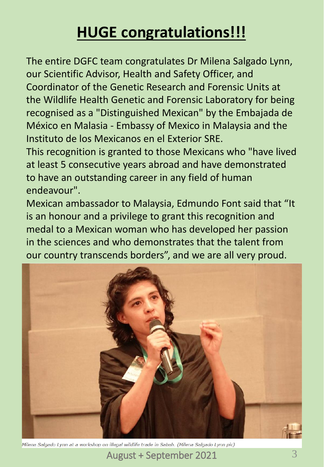#### **HUGE congratulations!!!**

The entire DGFC team congratulates Dr Milena Salgado Lynn, our Scientific Advisor, Health and Safety Officer, and Coordinator of the Genetic Research and Forensic Units at the Wildlife Health Genetic and Forensic Laboratory for being recognised as a "Distinguished Mexican" by the Embajada de México en Malasia - Embassy of Mexico in Malaysia and the Instituto de los Mexicanos en el Exterior SRE. This recognition is granted to those Mexicans who "have lived at least 5 consecutive years abroad and have demonstrated to have an outstanding career in any field of human

endeavour".

Mexican ambassador to Malaysia, Edmundo Font said that "It is an honour and a privilege to grant this recognition and medal to a Mexican woman who has developed her passion in the sciences and who demonstrates that the talent from our country transcends borders", and we are all very proud.



Milena Salgado Lynn at a workshop on illegal wildlife trade in Sabah. (Milena Salgado Lynn pic)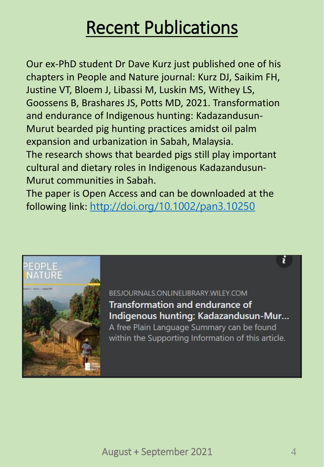### Recent Publications

Our ex-PhD student Dr Dave Kurz just published one of his chapters in People and Nature journal: Kurz DJ, Saikim FH, Justine VT, Bloem J, Libassi M, Luskin MS, Withey LS, Goossens B, Brashares JS, Potts MD, 2021. Transformation and endurance of Indigenous hunting: Kadazandusun-Murut bearded pig hunting practices amidst oil palm expansion and urbanization in Sabah, Malaysia. The research shows that bearded pigs still play important cultural and dietary roles in Indigenous Kadazandusun-Murut communities in Sabah.

The paper is Open Access and can be downloaded at the following link: [http://doi.org/10.1002/pan3.10250](https://doi.org/10.1002/pan3.10250?fbclid=IwAR23M34kDptgtVnq2yFL3U4zACgT5b8JE8zoXkBbhVKiKXm7HyLyQkLwB04)



BESJOURNALS.ONLINELIBRARY.WILEY.COM

**Transformation and endurance of** Indigenous hunting: Kadazandusun-Mur...

A free Plain Language Summary can be found within the Supporting Information of this article.

ĭ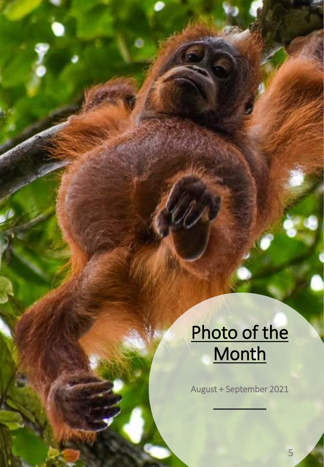## Photo of the **Month**

August + September 2021